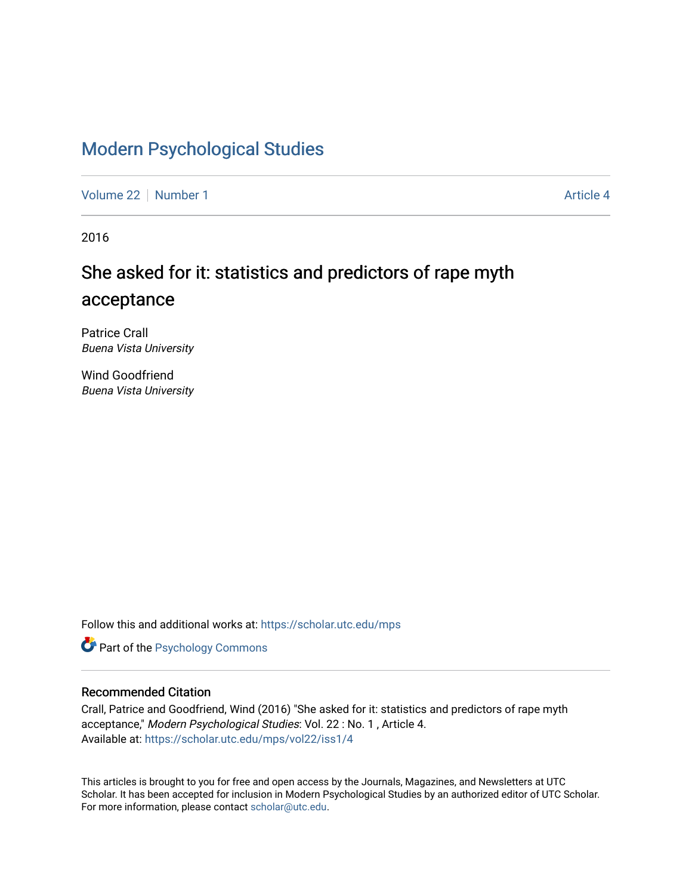# [Modern Psychological Studies](https://scholar.utc.edu/mps)

[Volume 22](https://scholar.utc.edu/mps/vol22) [Number 1](https://scholar.utc.edu/mps/vol22/iss1) [Article 4](https://scholar.utc.edu/mps/vol22/iss1/4) Article 4

2016

# She asked for it: statistics and predictors of rape myth acceptance

Patrice Crall Buena Vista University

Wind Goodfriend Buena Vista University

Follow this and additional works at: [https://scholar.utc.edu/mps](https://scholar.utc.edu/mps?utm_source=scholar.utc.edu%2Fmps%2Fvol22%2Fiss1%2F4&utm_medium=PDF&utm_campaign=PDFCoverPages) 

**Part of the Psychology Commons** 

#### Recommended Citation

Crall, Patrice and Goodfriend, Wind (2016) "She asked for it: statistics and predictors of rape myth acceptance," Modern Psychological Studies: Vol. 22 : No. 1 , Article 4. Available at: [https://scholar.utc.edu/mps/vol22/iss1/4](https://scholar.utc.edu/mps/vol22/iss1/4?utm_source=scholar.utc.edu%2Fmps%2Fvol22%2Fiss1%2F4&utm_medium=PDF&utm_campaign=PDFCoverPages) 

This articles is brought to you for free and open access by the Journals, Magazines, and Newsletters at UTC Scholar. It has been accepted for inclusion in Modern Psychological Studies by an authorized editor of UTC Scholar. For more information, please contact [scholar@utc.edu](mailto:scholar@utc.edu).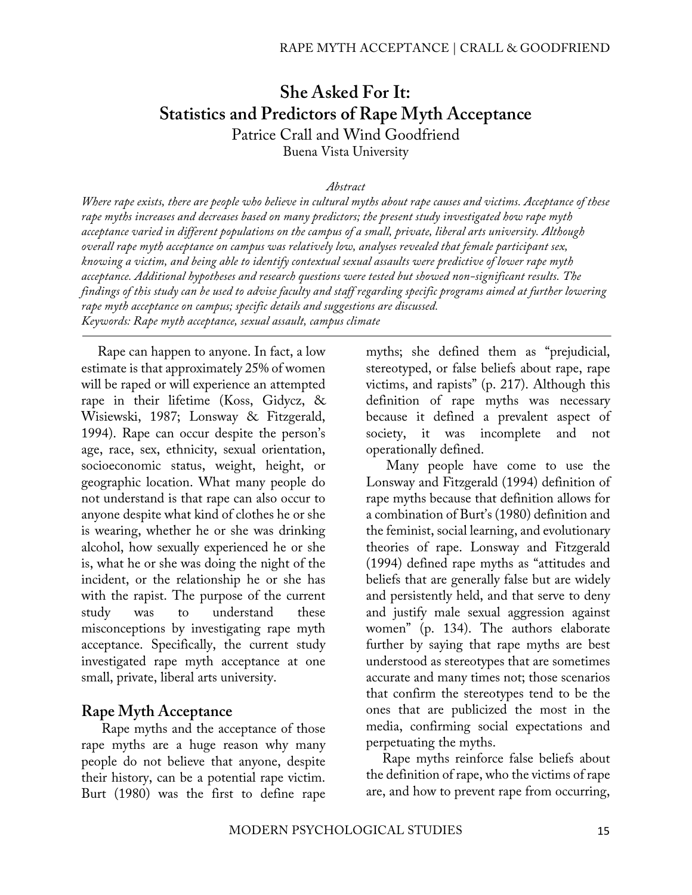# **She Asked For It: Statistics and Predictors of Rape Myth Acceptance** Patrice Crall and Wind Goodfriend

Buena Vista University

#### *Abstract*

*Where rape exists, there are people who believe in cultural myths about rape causes and victims. Acceptance of these rape myths increases and decreases based on many predictors; the present study investigated how rape myth acceptance varied in different populations on the campus of a small, private, liberal arts university. Although overall rape myth acceptance on campus was relatively low, analyses revealed that female participant sex, knowing a victim, and being able to identify contextual sexual assaults were predictive of lower rape myth acceptance. Additional hypotheses and research questions were tested but showed non-significant results. The findings of this study can be used to advise faculty and staff regarding specific programs aimed at further lowering rape myth acceptance on campus; specific details and suggestions are discussed. Keywords: Rape myth acceptance, sexual assault, campus climate*

Rape can happen to anyone. In fact, a low estimate is that approximately 25% of women will be raped or will experience an attempted rape in their lifetime (Koss, Gidycz, & Wisiewski, 1987; Lonsway & Fitzgerald, 1994). Rape can occur despite the person's age, race, sex, ethnicity, sexual orientation, socioeconomic status, weight, height, or geographic location. What many people do not understand is that rape can also occur to anyone despite what kind of clothes he or she is wearing, whether he or she was drinking alcohol, how sexually experienced he or she is, what he or she was doing the night of the incident, or the relationship he or she has with the rapist. The purpose of the current study was to understand these misconceptions by investigating rape myth acceptance. Specifically, the current study investigated rape myth acceptance at one small, private, liberal arts university.

### **Rape Myth Acceptance**

Rape myths and the acceptance of those rape myths are a huge reason why many people do not believe that anyone, despite their history, can be a potential rape victim. Burt (1980) was the first to define rape myths; she defined them as "prejudicial, stereotyped, or false beliefs about rape, rape victims, and rapists" (p. 217). Although this definition of rape myths was necessary because it defined a prevalent aspect of society, it was incomplete and not operationally defined.

Many people have come to use the Lonsway and Fitzgerald (1994) definition of rape myths because that definition allows for a combination of Burt's (1980) definition and the feminist, social learning, and evolutionary theories of rape. Lonsway and Fitzgerald (1994) defined rape myths as "attitudes and beliefs that are generally false but are widely and persistently held, and that serve to deny and justify male sexual aggression against women" (p. 134). The authors elaborate further by saying that rape myths are best understood as stereotypes that are sometimes accurate and many times not; those scenarios that confirm the stereotypes tend to be the ones that are publicized the most in the media, confirming social expectations and perpetuating the myths.

Rape myths reinforce false beliefs about the definition of rape, who the victims of rape are, and how to prevent rape from occurring,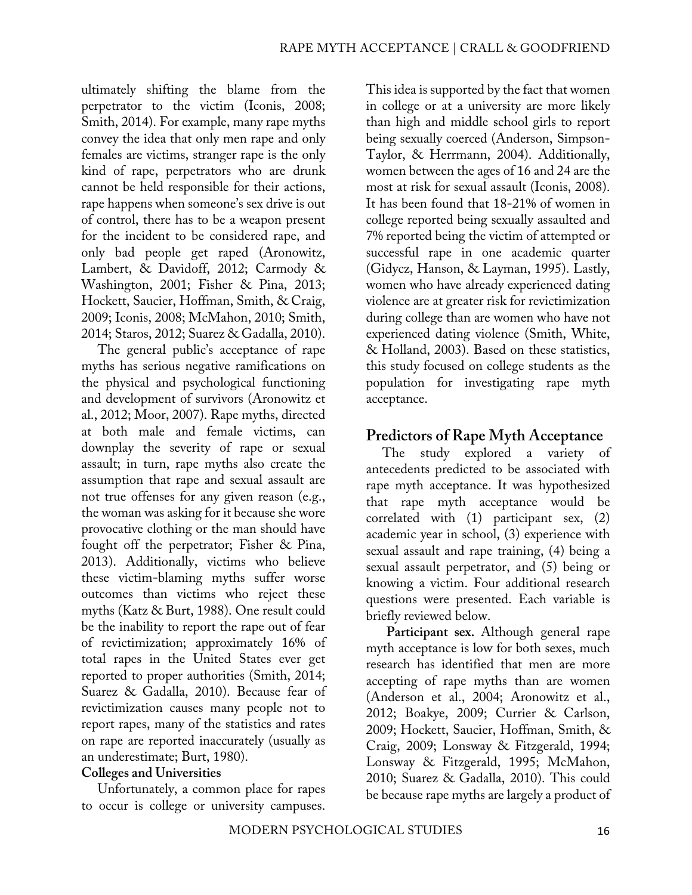ultimately shifting the blame from the perpetrator to the victim (Iconis, 2008; Smith, 2014). For example, many rape myths convey the idea that only men rape and only females are victims, stranger rape is the only kind of rape, perpetrators who are drunk cannot be held responsible for their actions, rape happens when someone's sex drive is out of control, there has to be a weapon present for the incident to be considered rape, and only bad people get raped (Aronowitz, Lambert, & Davidoff, 2012; Carmody & Washington, 2001; Fisher & Pina, 2013; Hockett, Saucier, Hoffman, Smith, & Craig, 2009; Iconis, 2008; McMahon, 2010; Smith, 2014; Staros, 2012; Suarez & Gadalla, 2010).

The general public's acceptance of rape myths has serious negative ramifications on the physical and psychological functioning and development of survivors (Aronowitz et al., 2012; Moor, 2007). Rape myths, directed at both male and female victims, can downplay the severity of rape or sexual assault; in turn, rape myths also create the assumption that rape and sexual assault are not true offenses for any given reason (e.g., the woman was asking for it because she wore provocative clothing or the man should have fought off the perpetrator; Fisher & Pina, 2013). Additionally, victims who believe these victim-blaming myths suffer worse outcomes than victims who reject these myths (Katz & Burt, 1988). One result could be the inability to report the rape out of fear of revictimization; approximately 16% of total rapes in the United States ever get reported to proper authorities (Smith, 2014; Suarez & Gadalla, 2010). Because fear of revictimization causes many people not to report rapes, many of the statistics and rates on rape are reported inaccurately (usually as an underestimate; Burt, 1980).

#### **Colleges and Universities**

Unfortunately, a common place for rapes to occur is college or university campuses.

This idea is supported by the fact that women in college or at a university are more likely than high and middle school girls to report being sexually coerced (Anderson, Simpson-Taylor, & Herrmann, 2004). Additionally, women between the ages of 16 and 24 are the most at risk for sexual assault (Iconis, 2008). It has been found that 18-21% of women in college reported being sexually assaulted and 7% reported being the victim of attempted or successful rape in one academic quarter (Gidycz, Hanson, & Layman, 1995). Lastly, women who have already experienced dating violence are at greater risk for revictimization during college than are women who have not experienced dating violence (Smith, White, & Holland, 2003). Based on these statistics, this study focused on college students as the population for investigating rape myth acceptance.

## **Predictors of Rape Myth Acceptance**

The study explored a variety of antecedents predicted to be associated with rape myth acceptance. It was hypothesized that rape myth acceptance would be correlated with (1) participant sex, (2) academic year in school, (3) experience with sexual assault and rape training, (4) being a sexual assault perpetrator, and (5) being or knowing a victim. Four additional research questions were presented. Each variable is briefly reviewed below.

**Participant sex.** Although general rape myth acceptance is low for both sexes, much research has identified that men are more accepting of rape myths than are women (Anderson et al., 2004; Aronowitz et al., 2012; Boakye, 2009; Currier & Carlson, 2009; Hockett, Saucier, Hoffman, Smith, & Craig, 2009; Lonsway & Fitzgerald, 1994; Lonsway & Fitzgerald, 1995; McMahon, 2010; Suarez & Gadalla, 2010). This could be because rape myths are largely a product of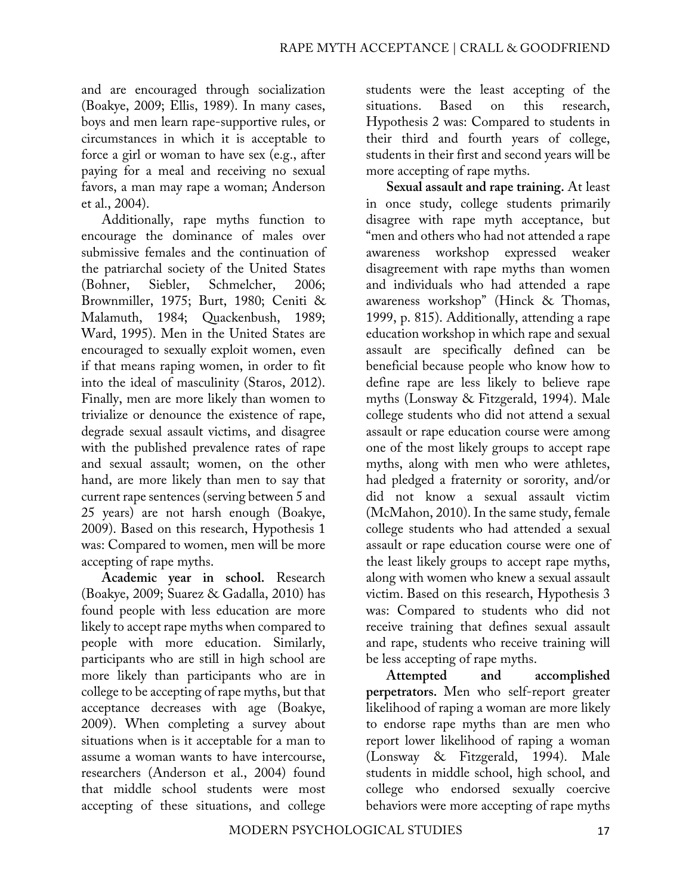and are encouraged through socialization (Boakye, 2009; Ellis, 1989). In many cases, boys and men learn rape-supportive rules, or circumstances in which it is acceptable to force a girl or woman to have sex (e.g., after paying for a meal and receiving no sexual favors, a man may rape a woman; Anderson et al., 2004).

Additionally, rape myths function to encourage the dominance of males over submissive females and the continuation of the patriarchal society of the United States (Bohner, Siebler, Schmelcher, 2006; Brownmiller, 1975; Burt, 1980; Ceniti & Malamuth, 1984; Quackenbush, 1989; Ward, 1995). Men in the United States are encouraged to sexually exploit women, even if that means raping women, in order to fit into the ideal of masculinity (Staros, 2012). Finally, men are more likely than women to trivialize or denounce the existence of rape, degrade sexual assault victims, and disagree with the published prevalence rates of rape and sexual assault; women, on the other hand, are more likely than men to say that current rape sentences (serving between 5 and 25 years) are not harsh enough (Boakye, 2009). Based on this research, Hypothesis 1 was: Compared to women, men will be more accepting of rape myths.

**Academic year in school.** Research (Boakye, 2009; Suarez & Gadalla, 2010) has found people with less education are more likely to accept rape myths when compared to people with more education. Similarly, participants who are still in high school are more likely than participants who are in college to be accepting of rape myths, but that acceptance decreases with age (Boakye, 2009). When completing a survey about situations when is it acceptable for a man to assume a woman wants to have intercourse, researchers (Anderson et al., 2004) found that middle school students were most accepting of these situations, and college

students were the least accepting of the situations. Based on this research, Hypothesis 2 was: Compared to students in their third and fourth years of college, students in their first and second years will be more accepting of rape myths.

**Sexual assault and rape training.** At least in once study, college students primarily disagree with rape myth acceptance, but "men and others who had not attended a rape awareness workshop expressed weaker disagreement with rape myths than women and individuals who had attended a rape awareness workshop" (Hinck & Thomas, 1999, p. 815). Additionally, attending a rape education workshop in which rape and sexual assault are specifically defined can be beneficial because people who know how to define rape are less likely to believe rape myths (Lonsway & Fitzgerald, 1994). Male college students who did not attend a sexual assault or rape education course were among one of the most likely groups to accept rape myths, along with men who were athletes, had pledged a fraternity or sorority, and/or did not know a sexual assault victim (McMahon, 2010). In the same study, female college students who had attended a sexual assault or rape education course were one of the least likely groups to accept rape myths, along with women who knew a sexual assault victim. Based on this research, Hypothesis 3 was: Compared to students who did not receive training that defines sexual assault and rape, students who receive training will be less accepting of rape myths.

**Attempted and accomplished perpetrators.** Men who self-report greater likelihood of raping a woman are more likely to endorse rape myths than are men who report lower likelihood of raping a woman (Lonsway & Fitzgerald, 1994). Male students in middle school, high school, and college who endorsed sexually coercive behaviors were more accepting of rape myths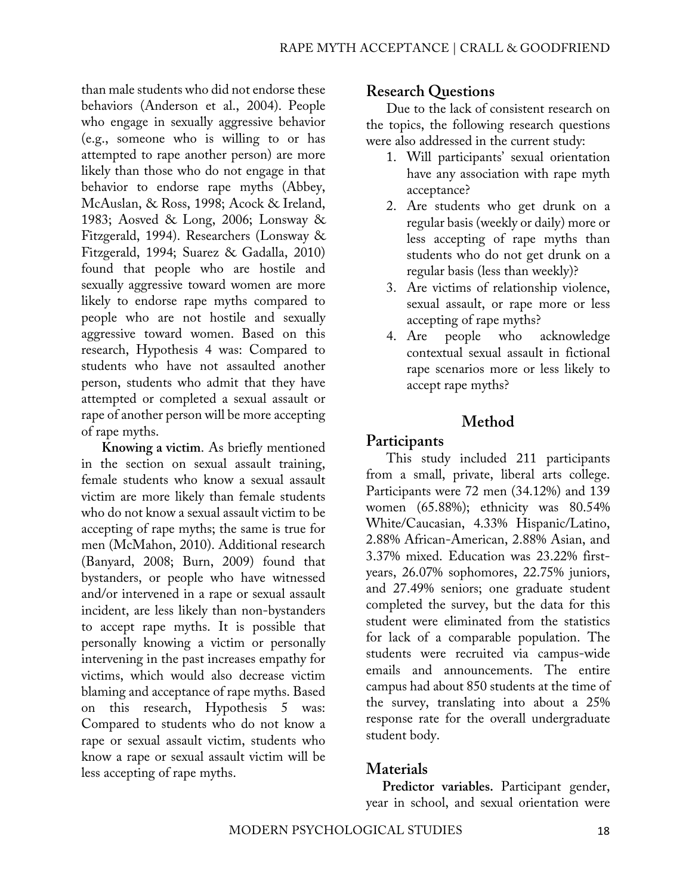than male students who did not endorse these behaviors (Anderson et al., 2004). People who engage in sexually aggressive behavior (e.g., someone who is willing to or has attempted to rape another person) are more likely than those who do not engage in that behavior to endorse rape myths (Abbey, McAuslan, & Ross, 1998; Acock & Ireland, 1983; Aosved & Long, 2006; Lonsway & Fitzgerald, 1994). Researchers (Lonsway & Fitzgerald, 1994; Suarez & Gadalla, 2010) found that people who are hostile and sexually aggressive toward women are more likely to endorse rape myths compared to people who are not hostile and sexually aggressive toward women. Based on this research, Hypothesis 4 was: Compared to students who have not assaulted another person, students who admit that they have attempted or completed a sexual assault or rape of another person will be more accepting of rape myths.

**Knowing a victim**. As briefly mentioned in the section on sexual assault training, female students who know a sexual assault victim are more likely than female students who do not know a sexual assault victim to be accepting of rape myths; the same is true for men (McMahon, 2010). Additional research (Banyard, 2008; Burn, 2009) found that bystanders, or people who have witnessed and/or intervened in a rape or sexual assault incident, are less likely than non-bystanders to accept rape myths. It is possible that personally knowing a victim or personally intervening in the past increases empathy for victims, which would also decrease victim blaming and acceptance of rape myths. Based on this research, Hypothesis 5 was: Compared to students who do not know a rape or sexual assault victim, students who know a rape or sexual assault victim will be less accepting of rape myths.

## **Research Questions**

Due to the lack of consistent research on the topics, the following research questions were also addressed in the current study:

- 1. Will participants' sexual orientation have any association with rape myth acceptance?
- 2. Are students who get drunk on a regular basis (weekly or daily) more or less accepting of rape myths than students who do not get drunk on a regular basis (less than weekly)?
- 3. Are victims of relationship violence, sexual assault, or rape more or less accepting of rape myths?
- 4. Are people who acknowledge contextual sexual assault in fictional rape scenarios more or less likely to accept rape myths?

## **Method**

## **Participants**

This study included 211 participants from a small, private, liberal arts college. Participants were 72 men (34.12%) and 139 women (65.88%); ethnicity was 80.54% White/Caucasian, 4.33% Hispanic/Latino, 2.88% African-American, 2.88% Asian, and 3.37% mixed. Education was 23.22% firstyears, 26.07% sophomores, 22.75% juniors, and 27.49% seniors; one graduate student completed the survey, but the data for this student were eliminated from the statistics for lack of a comparable population. The students were recruited via campus-wide emails and announcements. The entire campus had about 850 students at the time of the survey, translating into about a 25% response rate for the overall undergraduate student body.

## **Materials**

**Predictor variables.** Participant gender, year in school, and sexual orientation were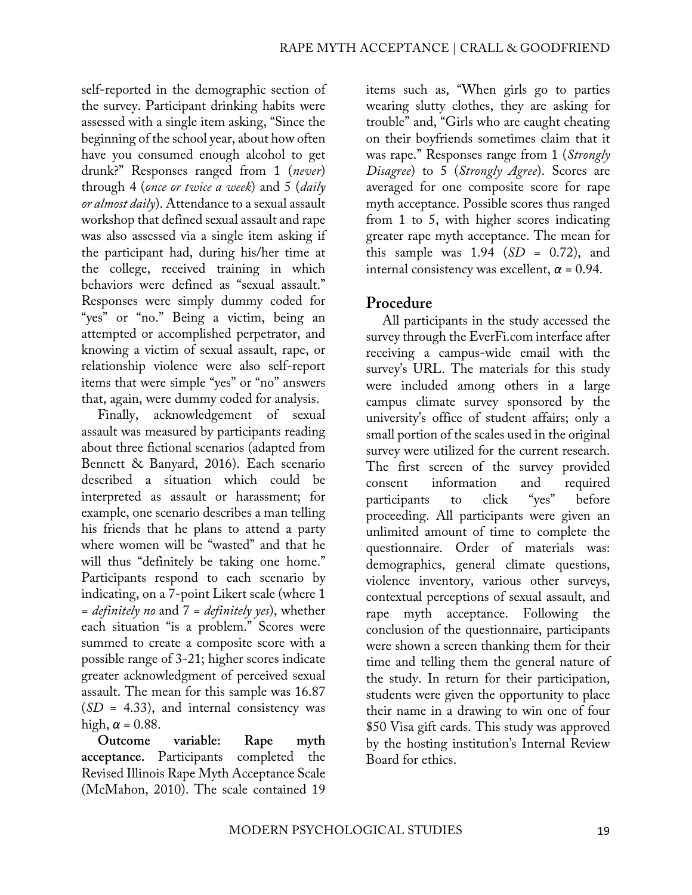self-reported in the demographic section of the survey. Participant drinking habits were assessed with a single item asking, "Since the beginning of the school year, about how often have you consumed enough alcohol to get drunk?" Responses ranged from 1 (*never*) through 4 (*once or twice a week*) and 5 (*daily or almost daily*). Attendance to a sexual assault workshop that defined sexual assault and rape was also assessed via a single item asking if the participant had, during his/her time at the college, received training in which behaviors were defined as "sexual assault." Responses were simply dummy coded for "yes" or "no." Being a victim, being an attempted or accomplished perpetrator, and knowing a victim of sexual assault, rape, or relationship violence were also self-report items that were simple "yes" or "no" answers that, again, were dummy coded for analysis.

Finally, acknowledgement of sexual assault was measured by participants reading about three fictional scenarios (adapted from Bennett & Banyard, 2016). Each scenario described a situation which could be interpreted as assault or harassment; for example, one scenario describes a man telling his friends that he plans to attend a party where women will be "wasted" and that he will thus "definitely be taking one home." Participants respond to each scenario by indicating, on a 7-point Likert scale (where 1 = *definitely no* and 7 = *definitely yes*), whether each situation "is a problem." Scores were summed to create a composite score with a possible range of 3-21; higher scores indicate greater acknowledgment of perceived sexual assault. The mean for this sample was 16.87 (*SD* = 4.33), and internal consistency was high,  $\alpha$  = 0.88.

**Outcome variable: Rape myth acceptance.** Participants completed the Revised Illinois Rape Myth Acceptance Scale (McMahon, 2010). The scale contained 19

items such as, "When girls go to parties wearing slutty clothes, they are asking for trouble" and, "Girls who are caught cheating on their boyfriends sometimes claim that it was rape." Responses range from 1 (*Strongly Disagree*) to 5 (*Strongly Agree*). Scores are averaged for one composite score for rape myth acceptance. Possible scores thus ranged from 1 to 5, with higher scores indicating greater rape myth acceptance. The mean for this sample was  $1.94$  (*SD* = 0.72), and internal consistency was excellent,  $\alpha$  = 0.94.

## **Procedure**

All participants in the study accessed the survey through the EverFi.com interface after receiving a campus-wide email with the survey's URL. The materials for this study were included among others in a large campus climate survey sponsored by the university's office of student affairs; only a small portion of the scales used in the original survey were utilized for the current research. The first screen of the survey provided consent information and required participants to click "yes" before proceeding. All participants were given an unlimited amount of time to complete the questionnaire. Order of materials was: demographics, general climate questions, violence inventory, various other surveys, contextual perceptions of sexual assault, and rape myth acceptance. Following the conclusion of the questionnaire, participants were shown a screen thanking them for their time and telling them the general nature of the study. In return for their participation, students were given the opportunity to place their name in a drawing to win one of four \$50 Visa gift cards. This study was approved by the hosting institution's Internal Review Board for ethics.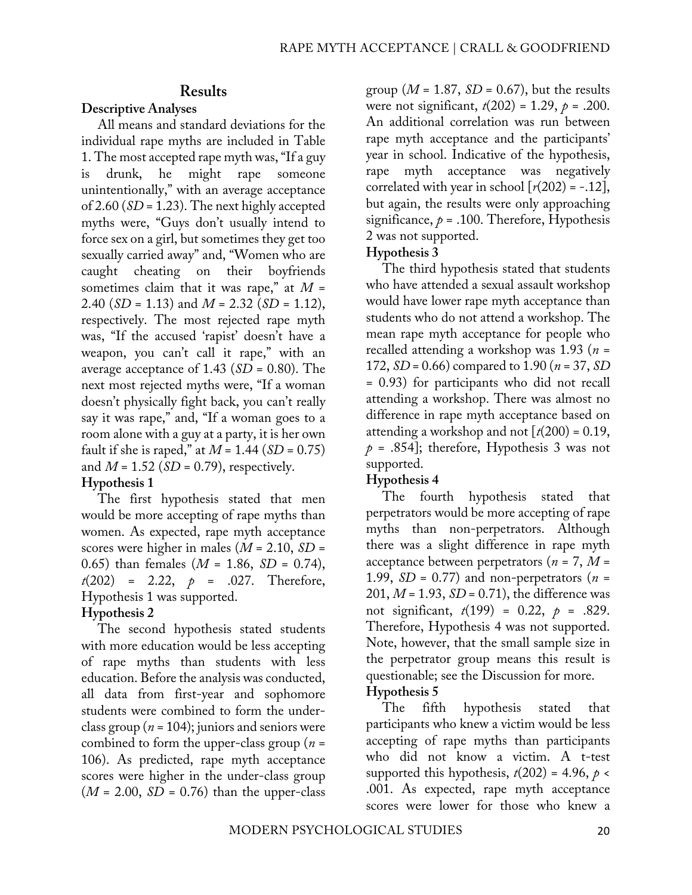### **Results**

#### **Descriptive Analyses**

All means and standard deviations for the individual rape myths are included in Table 1. The most accepted rape myth was, "If a guy is drunk, he might rape someone unintentionally," with an average acceptance of  $2.60$  ( $SD = 1.23$ ). The next highly accepted myths were, "Guys don't usually intend to force sex on a girl, but sometimes they get too sexually carried away" and, "Women who are caught cheating on their boyfriends sometimes claim that it was rape," at  $M =$ 2.40 (*SD* = 1.13) and *M* = 2.32 (*SD* = 1.12), respectively. The most rejected rape myth was, "If the accused 'rapist' doesn't have a weapon, you can't call it rape," with an average acceptance of  $1.43$  (*SD* = 0.80). The next most rejected myths were, "If a woman doesn't physically fight back, you can't really say it was rape," and, "If a woman goes to a room alone with a guy at a party, it is her own fault if she is raped," at  $M = 1.44$  (*SD* = 0.75) and  $M = 1.52$  (*SD* = 0.79), respectively. **Hypothesis 1**

The first hypothesis stated that men would be more accepting of rape myths than women. As expected, rape myth acceptance scores were higher in males (*M* = 2.10, *SD* = 0.65) than females (*M* = 1.86, *SD* = 0.74), *t*(202) = 2.22, *p* = .027. Therefore, Hypothesis 1 was supported.

### **Hypothesis 2**

The second hypothesis stated students with more education would be less accepting of rape myths than students with less education. Before the analysis was conducted, all data from first-year and sophomore students were combined to form the underclass group ( $n = 104$ ); juniors and seniors were combined to form the upper-class group (*n* = 106). As predicted, rape myth acceptance scores were higher in the under-class group  $(M = 2.00, SD = 0.76)$  than the upper-class group ( $M = 1.87$ ,  $SD = 0.67$ ), but the results were not significant, *t*(202) = 1.29, *p* = .200. An additional correlation was run between rape myth acceptance and the participants' year in school. Indicative of the hypothesis, rape myth acceptance was negatively correlated with year in school  $[r(202) = -.12]$ , but again, the results were only approaching significance,  $p = .100$ . Therefore, Hypothesis 2 was not supported.

#### **Hypothesis 3**

The third hypothesis stated that students who have attended a sexual assault workshop would have lower rape myth acceptance than students who do not attend a workshop. The mean rape myth acceptance for people who recalled attending a workshop was 1.93 (*n* = 172, *SD* = 0.66) compared to 1.90 (*n* = 37, *SD*  = 0.93) for participants who did not recall attending a workshop. There was almost no difference in rape myth acceptance based on attending a workshop and not [*t*(200) = 0.19,  $p = .854$ ; therefore, Hypothesis 3 was not supported.

### **Hypothesis 4**

The fourth hypothesis stated that perpetrators would be more accepting of rape myths than non-perpetrators. Although there was a slight difference in rape myth acceptance between perpetrators (*n* = 7, *M* = 1.99,  $SD = 0.77$ ) and non-perpetrators (*n* = 201, *M* = 1.93, *SD* = 0.71), the difference was not significant, *t*(199) = 0.22, *p* = .829. Therefore, Hypothesis 4 was not supported. Note, however, that the small sample size in the perpetrator group means this result is questionable; see the Discussion for more. **Hypothesis 5**

The fifth hypothesis stated that participants who knew a victim would be less accepting of rape myths than participants who did not know a victim. A t-test supported this hypothesis,  $t(202) = 4.96$ ,  $p \le$ .001. As expected, rape myth acceptance scores were lower for those who knew a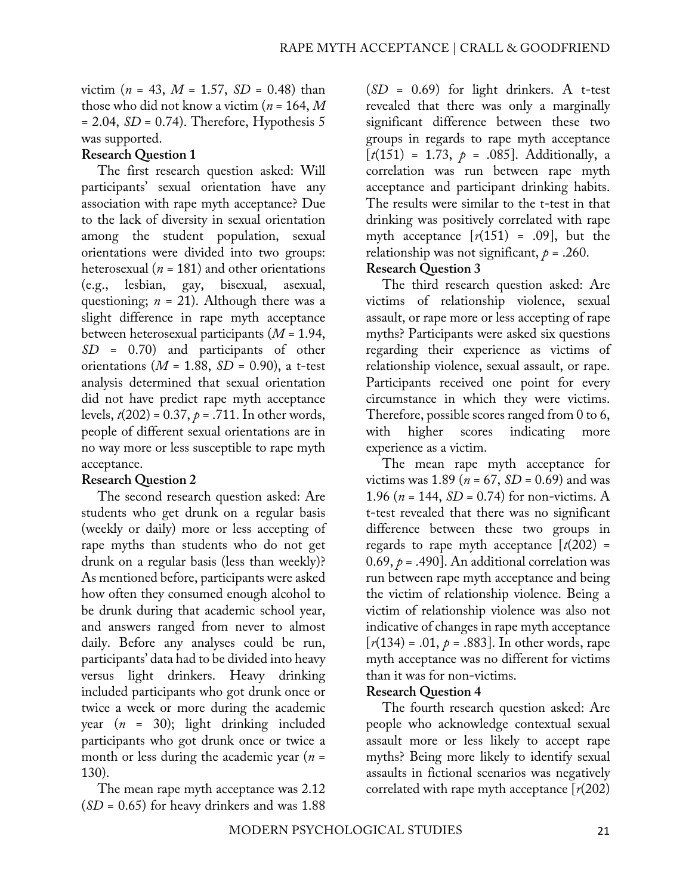victim ( $n = 43$ ,  $M = 1.57$ ,  $SD = 0.48$ ) than those who did not know a victim (*n* = 164, *M* = 2.04, *SD* = 0.74). Therefore, Hypothesis 5 was supported.

#### **Research Question 1**

The first research question asked: Will participants' sexual orientation have any association with rape myth acceptance? Due to the lack of diversity in sexual orientation among the student population, sexual orientations were divided into two groups: heterosexual ( $n = 181$ ) and other orientations (e.g., lesbian, gay, bisexual, asexual, questioning;  $n = 21$ ). Although there was a slight difference in rape myth acceptance between heterosexual participants (*M* = 1.94, *SD* = 0.70) and participants of other orientations  $(M = 1.88, SD = 0.90)$ , a t-test analysis determined that sexual orientation did not have predict rape myth acceptance levels, *t*(202) = 0.37, *p* = .711. In other words, people of different sexual orientations are in no way more or less susceptible to rape myth acceptance.

#### **Research Question 2**

The second research question asked: Are students who get drunk on a regular basis (weekly or daily) more or less accepting of rape myths than students who do not get drunk on a regular basis (less than weekly)? As mentioned before, participants were asked how often they consumed enough alcohol to be drunk during that academic school year, and answers ranged from never to almost daily. Before any analyses could be run, participants' data had to be divided into heavy versus light drinkers. Heavy drinking included participants who got drunk once or twice a week or more during the academic year (*n* = 30); light drinking included participants who got drunk once or twice a month or less during the academic year (*n* = 130).

The mean rape myth acceptance was 2.12 (*SD* = 0.65) for heavy drinkers and was 1.88 (*SD* = 0.69) for light drinkers. A t-test revealed that there was only a marginally significant difference between these two groups in regards to rape myth acceptance  $[t(151) = 1.73, p = .085]$ . Additionally, a correlation was run between rape myth acceptance and participant drinking habits. The results were similar to the t-test in that drinking was positively correlated with rape myth acceptance  $[r(151) = .09]$ , but the relationship was not significant,  $p = .260$ .

#### **Research Question 3**

The third research question asked: Are victims of relationship violence, sexual assault, or rape more or less accepting of rape myths? Participants were asked six questions regarding their experience as victims of relationship violence, sexual assault, or rape. Participants received one point for every circumstance in which they were victims. Therefore, possible scores ranged from 0 to 6, with higher scores indicating more experience as a victim.

The mean rape myth acceptance for *victims was* 1.89 ( $n = 67$ , *SD* = 0.69) and was 1.96 ( $n = 144$ , *SD* = 0.74) for non-victims. A t-test revealed that there was no significant difference between these two groups in regards to rape myth acceptance  $[t(202) =$ 0.69,  $p = .490$ ]. An additional correlation was run between rape myth acceptance and being the victim of relationship violence. Being a victim of relationship violence was also not indicative of changes in rape myth acceptance  $[r(134) = .01, p = .883]$ . In other words, rape myth acceptance was no different for victims than it was for non-victims.

#### **Research Question 4**

The fourth research question asked: Are people who acknowledge contextual sexual assault more or less likely to accept rape myths? Being more likely to identify sexual assaults in fictional scenarios was negatively correlated with rape myth acceptance  $[r(202)]$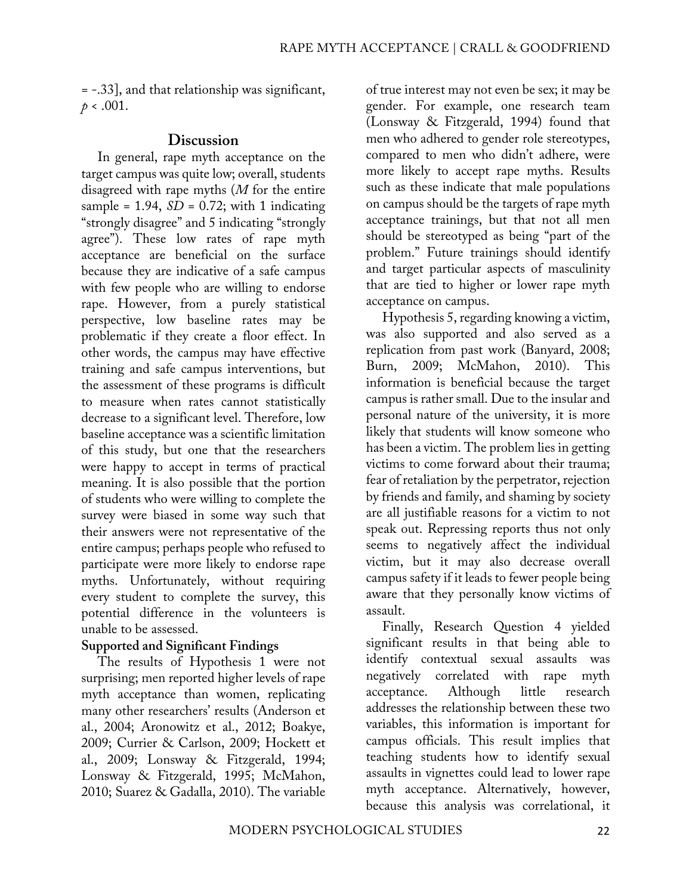= -.33], and that relationship was significant,  $p < .001$ .

#### **Discussion**

In general, rape myth acceptance on the target campus was quite low; overall, students disagreed with rape myths (*M* for the entire sample =  $1.94$ ,  $SD = 0.72$ ; with 1 indicating "strongly disagree" and 5 indicating "strongly agree"). These low rates of rape myth acceptance are beneficial on the surface because they are indicative of a safe campus with few people who are willing to endorse rape. However, from a purely statistical perspective, low baseline rates may be problematic if they create a floor effect. In other words, the campus may have effective training and safe campus interventions, but the assessment of these programs is difficult to measure when rates cannot statistically decrease to a significant level. Therefore, low baseline acceptance was a scientific limitation of this study, but one that the researchers were happy to accept in terms of practical meaning. It is also possible that the portion of students who were willing to complete the survey were biased in some way such that their answers were not representative of the entire campus; perhaps people who refused to participate were more likely to endorse rape myths. Unfortunately, without requiring every student to complete the survey, this potential difference in the volunteers is unable to be assessed.

### **Supported and Significant Findings**

The results of Hypothesis 1 were not surprising; men reported higher levels of rape myth acceptance than women, replicating many other researchers' results (Anderson et al., 2004; Aronowitz et al., 2012; Boakye, 2009; Currier & Carlson, 2009; Hockett et al., 2009; Lonsway & Fitzgerald, 1994; Lonsway & Fitzgerald, 1995; McMahon, 2010; Suarez & Gadalla, 2010). The variable

of true interest may not even be sex; it may be gender. For example, one research team (Lonsway & Fitzgerald, 1994) found that men who adhered to gender role stereotypes, compared to men who didn't adhere, were more likely to accept rape myths. Results such as these indicate that male populations on campus should be the targets of rape myth acceptance trainings, but that not all men should be stereotyped as being "part of the problem." Future trainings should identify and target particular aspects of masculinity that are tied to higher or lower rape myth acceptance on campus.

Hypothesis 5, regarding knowing a victim, was also supported and also served as a replication from past work (Banyard, 2008; Burn, 2009; McMahon, 2010). This information is beneficial because the target campus is rather small. Due to the insular and personal nature of the university, it is more likely that students will know someone who has been a victim. The problem lies in getting victims to come forward about their trauma; fear of retaliation by the perpetrator, rejection by friends and family, and shaming by society are all justifiable reasons for a victim to not speak out. Repressing reports thus not only seems to negatively affect the individual victim, but it may also decrease overall campus safety if it leads to fewer people being aware that they personally know victims of assault.

Finally, Research Question 4 yielded significant results in that being able to identify contextual sexual assaults was negatively correlated with rape myth acceptance. Although little research addresses the relationship between these two variables, this information is important for campus officials. This result implies that teaching students how to identify sexual assaults in vignettes could lead to lower rape myth acceptance. Alternatively, however, because this analysis was correlational, it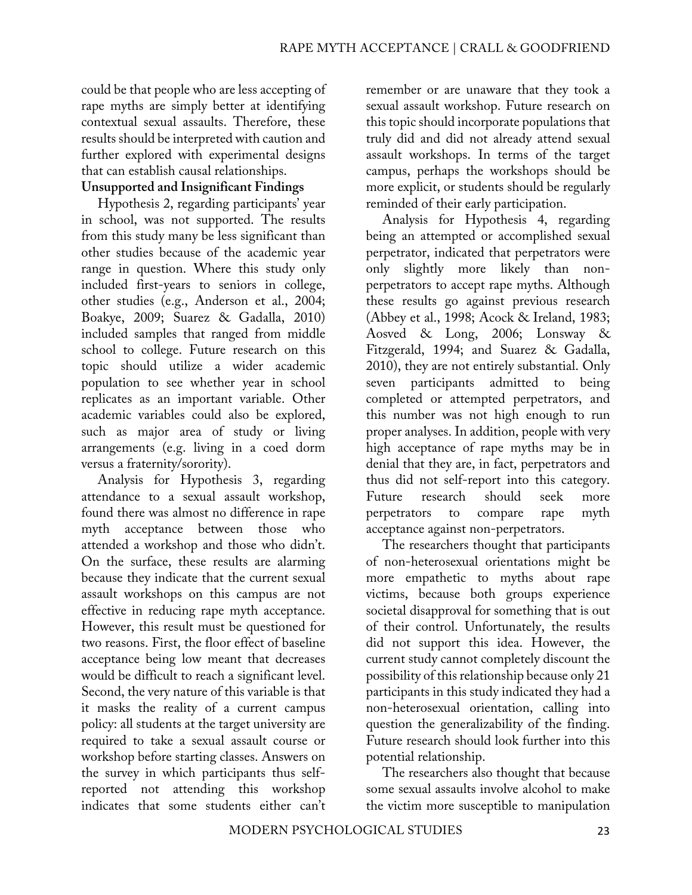could be that people who are less accepting of rape myths are simply better at identifying contextual sexual assaults. Therefore, these results should be interpreted with caution and further explored with experimental designs that can establish causal relationships.

#### **Unsupported and Insignificant Findings**

Hypothesis 2, regarding participants' year in school, was not supported. The results from this study many be less significant than other studies because of the academic year range in question. Where this study only included first-years to seniors in college, other studies (e.g., Anderson et al., 2004; Boakye, 2009; Suarez & Gadalla, 2010) included samples that ranged from middle school to college. Future research on this topic should utilize a wider academic population to see whether year in school replicates as an important variable. Other academic variables could also be explored, such as major area of study or living arrangements (e.g. living in a coed dorm versus a fraternity/sorority).

Analysis for Hypothesis 3, regarding attendance to a sexual assault workshop, found there was almost no difference in rape myth acceptance between those who attended a workshop and those who didn't. On the surface, these results are alarming because they indicate that the current sexual assault workshops on this campus are not effective in reducing rape myth acceptance. However, this result must be questioned for two reasons. First, the floor effect of baseline acceptance being low meant that decreases would be difficult to reach a significant level. Second, the very nature of this variable is that it masks the reality of a current campus policy: all students at the target university are required to take a sexual assault course or workshop before starting classes. Answers on the survey in which participants thus selfreported not attending this workshop indicates that some students either can't

remember or are unaware that they took a sexual assault workshop. Future research on this topic should incorporate populations that truly did and did not already attend sexual assault workshops. In terms of the target campus, perhaps the workshops should be more explicit, or students should be regularly reminded of their early participation.

Analysis for Hypothesis 4, regarding being an attempted or accomplished sexual perpetrator, indicated that perpetrators were only slightly more likely than nonperpetrators to accept rape myths. Although these results go against previous research (Abbey et al., 1998; Acock & Ireland, 1983; Aosved & Long, 2006; Lonsway & Fitzgerald, 1994; and Suarez & Gadalla, 2010), they are not entirely substantial. Only seven participants admitted to being completed or attempted perpetrators, and this number was not high enough to run proper analyses. In addition, people with very high acceptance of rape myths may be in denial that they are, in fact, perpetrators and thus did not self-report into this category. Future research should seek more perpetrators to compare rape myth acceptance against non-perpetrators.

The researchers thought that participants of non-heterosexual orientations might be more empathetic to myths about rape victims, because both groups experience societal disapproval for something that is out of their control. Unfortunately, the results did not support this idea. However, the current study cannot completely discount the possibility of this relationship because only 21 participants in this study indicated they had a non-heterosexual orientation, calling into question the generalizability of the finding. Future research should look further into this potential relationship.

The researchers also thought that because some sexual assaults involve alcohol to make the victim more susceptible to manipulation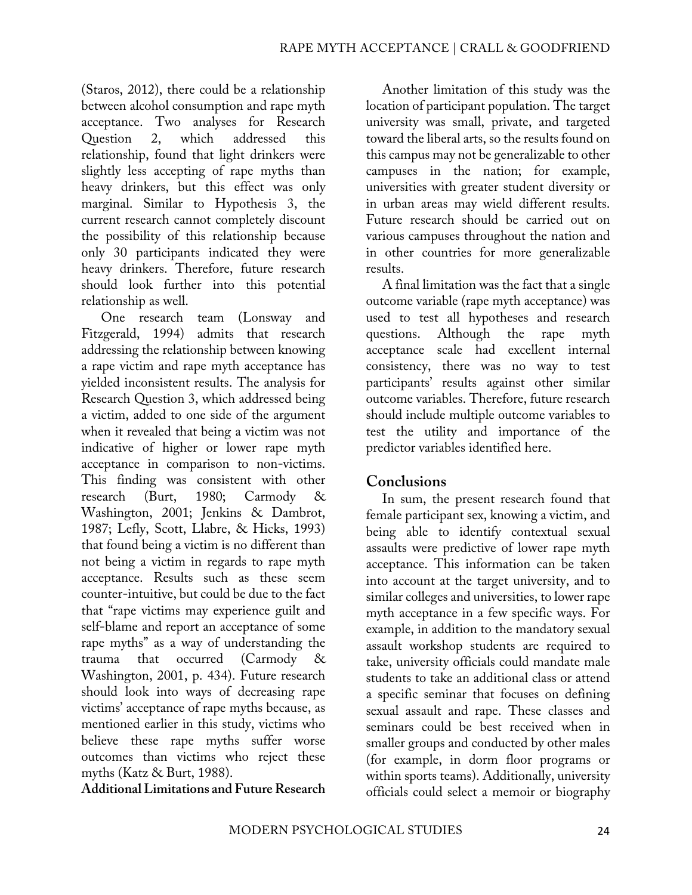(Staros, 2012), there could be a relationship between alcohol consumption and rape myth acceptance. Two analyses for Research Question 2, which addressed this relationship, found that light drinkers were slightly less accepting of rape myths than heavy drinkers, but this effect was only marginal. Similar to Hypothesis 3, the current research cannot completely discount the possibility of this relationship because only 30 participants indicated they were heavy drinkers. Therefore, future research should look further into this potential relationship as well.

One research team (Lonsway and Fitzgerald, 1994) admits that research addressing the relationship between knowing a rape victim and rape myth acceptance has yielded inconsistent results. The analysis for Research Question 3, which addressed being a victim, added to one side of the argument when it revealed that being a victim was not indicative of higher or lower rape myth acceptance in comparison to non-victims. This finding was consistent with other research (Burt, 1980; Carmody & Washington, 2001; Jenkins & Dambrot, 1987; Lefly, Scott, Llabre, & Hicks, 1993) that found being a victim is no different than not being a victim in regards to rape myth acceptance. Results such as these seem counter-intuitive, but could be due to the fact that "rape victims may experience guilt and self-blame and report an acceptance of some rape myths" as a way of understanding the trauma that occurred (Carmody & Washington, 2001, p. 434). Future research should look into ways of decreasing rape victims' acceptance of rape myths because, as mentioned earlier in this study, victims who believe these rape myths suffer worse outcomes than victims who reject these myths (Katz & Burt, 1988).

**Additional Limitations and Future Research**

Another limitation of this study was the location of participant population. The target university was small, private, and targeted toward the liberal arts, so the results found on this campus may not be generalizable to other campuses in the nation; for example, universities with greater student diversity or in urban areas may wield different results. Future research should be carried out on various campuses throughout the nation and in other countries for more generalizable results.

A final limitation was the fact that a single outcome variable (rape myth acceptance) was used to test all hypotheses and research questions. Although the rape myth acceptance scale had excellent internal consistency, there was no way to test participants' results against other similar outcome variables. Therefore, future research should include multiple outcome variables to test the utility and importance of the predictor variables identified here.

## **Conclusions**

In sum, the present research found that female participant sex, knowing a victim, and being able to identify contextual sexual assaults were predictive of lower rape myth acceptance. This information can be taken into account at the target university, and to similar colleges and universities, to lower rape myth acceptance in a few specific ways. For example, in addition to the mandatory sexual assault workshop students are required to take, university officials could mandate male students to take an additional class or attend a specific seminar that focuses on defining sexual assault and rape. These classes and seminars could be best received when in smaller groups and conducted by other males (for example, in dorm floor programs or within sports teams). Additionally, university officials could select a memoir or biography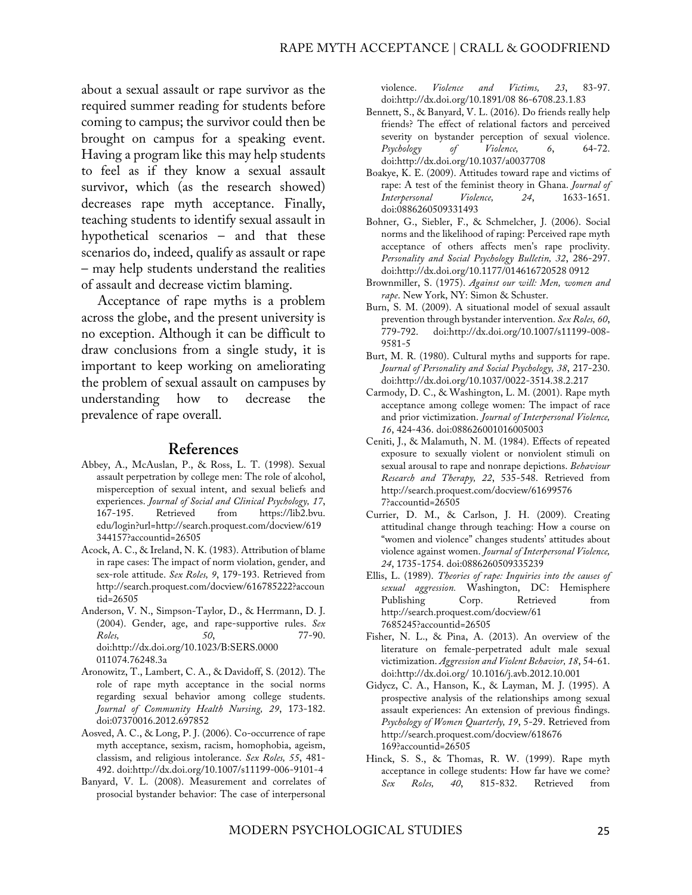about a sexual assault or rape survivor as the required summer reading for students before coming to campus; the survivor could then be brought on campus for a speaking event. Having a program like this may help students to feel as if they know a sexual assault survivor, which (as the research showed) decreases rape myth acceptance. Finally, teaching students to identify sexual assault in hypothetical scenarios – and that these scenarios do, indeed, qualify as assault or rape – may help students understand the realities of assault and decrease victim blaming.

Acceptance of rape myths is a problem across the globe, and the present university is no exception. Although it can be difficult to draw conclusions from a single study, it is important to keep working on ameliorating the problem of sexual assault on campuses by understanding how to decrease the prevalence of rape overall.

#### **References**

- Abbey, A., McAuslan, P., & Ross, L. T. (1998). Sexual assault perpetration by college men: The role of alcohol, misperception of sexual intent, and sexual beliefs and experiences. *Journal of Social and Clinical Psychology, 17*, 167-195. Retrieved from https://lib2.bvu. edu/login?url=http://search.proquest.com/docview/619 344157?accountid=26505
- Acock, A. C., & Ireland, N. K. (1983). Attribution of blame in rape cases: The impact of norm violation, gender, and sex-role attitude. *Sex Roles, 9*, 179-193. Retrieved from http://search.proquest.com/docview/616785222?accoun tid=26505
- Anderson, V. N., Simpson-Taylor, D., & Herrmann, D. J. (2004). Gender, age, and rape-supportive rules. *Sex Roles, 50*, 77-90. doi:http://dx.doi.org/10.1023/B:SERS.0000 011074.76248.3a
- Aronowitz, T., Lambert, C. A., & Davidoff, S. (2012). The role of rape myth acceptance in the social norms regarding sexual behavior among college students. *Journal of Community Health Nursing, 29*, 173-182. doi:07370016.2012.697852
- Aosved, A. C., & Long, P. J. (2006). Co-occurrence of rape myth acceptance, sexism, racism, homophobia, ageism, classism, and religious intolerance. *Sex Roles, 55*, 481- 492. doi:http://dx.doi.org/10.1007/s11199-006-9101-4
- Banyard, V. L. (2008). Measurement and correlates of prosocial bystander behavior: The case of interpersonal

violence. *Violence and Victims, 23*, 83-97. doi:http://dx.doi.org/10.1891/08 86-6708.23.1.83

- Bennett, S., & Banyard, V. L. (2016). Do friends really help friends? The effect of relational factors and perceived severity on bystander perception of sexual violence. *Psychology of Violence, 6*, 64-72. doi:http://dx.doi.org/10.1037/a0037708
- Boakye, K. E. (2009). Attitudes toward rape and victims of rape: A test of the feminist theory in Ghana. *Journal of Interpersonal Violence, 24*, 1633-1651. doi:0886260509331493
- Bohner, G., Siebler, F., & Schmelcher, J. (2006). Social norms and the likelihood of raping: Perceived rape myth acceptance of others affects men's rape proclivity. *Personality and Social Psychology Bulletin, 32*, 286-297. doi:http://dx.doi.org/10.1177/014616720528 0912
- Brownmiller, S. (1975). *Against our will: Men, women and rape*. New York, NY: Simon & Schuster.
- Burn, S. M. (2009). A situational model of sexual assault prevention through bystander intervention. *Sex Roles, 60*, 779-792. doi:http://dx.doi.org/10.1007/s11199-008- 9581-5
- Burt, M. R. (1980). Cultural myths and supports for rape. *Journal of Personality and Social Psychology, 38*, 217-230. doi:http://dx.doi.org/10.1037/0022-3514.38.2.217
- Carmody, D. C., & Washington, L. M. (2001). Rape myth acceptance among college women: The impact of race and prior victimization. *Journal of Interpersonal Violence, 16*, 424-436. doi:088626001016005003
- Ceniti, J., & Malamuth, N. M. (1984). Effects of repeated exposure to sexually violent or nonviolent stimuli on sexual arousal to rape and nonrape depictions. *Behaviour Research and Therapy, 22*, 535-548. Retrieved from http://search.proquest.com/docview/61699576 7?accountid=26505
- Currier, D. M., & Carlson, J. H. (2009). Creating attitudinal change through teaching: How a course on "women and violence" changes students' attitudes about violence against women. *Journal of Interpersonal Violence, 24*, 1735-1754. doi:0886260509335239
- Ellis, L. (1989). *Theories of rape: Inquiries into the causes of sexual aggression.* Washington, DC: Hemisphere Publishing Corp. Retrieved from http://search.proquest.com/docview/61 7685245?accountid=26505
- Fisher, N. L., & Pina, A. (2013). An overview of the literature on female-perpetrated adult male sexual victimization. *Aggression and Violent Behavior, 18*, 54-61. doi:http://dx.doi.org/ 10.1016/j.avb.2012.10.001
- Gidycz, C. A., Hanson, K., & Layman, M. J. (1995). A prospective analysis of the relationships among sexual assault experiences: An extension of previous findings. *Psychology of Women Quarterly, 19*, 5-29. Retrieved from http://search.proquest.com/docview/618676 169?accountid=26505
- Hinck, S. S., & Thomas, R. W. (1999). Rape myth acceptance in college students: How far have we come? *Sex Roles, 40*, 815-832. Retrieved from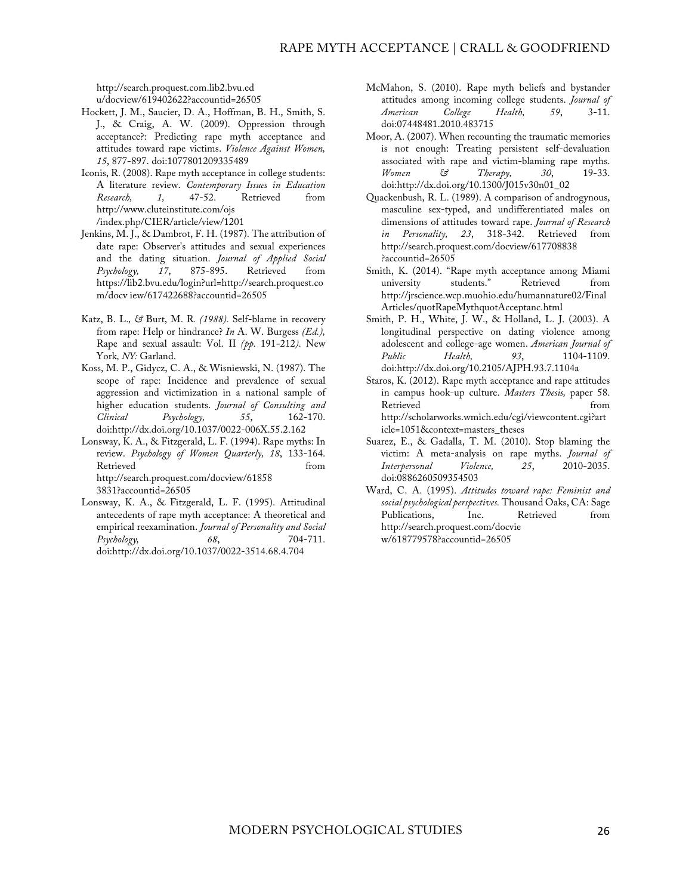http://search.proquest.com.lib2.bvu.ed u/docview/619402622?accountid=26505

- Hockett, J. M., Saucier, D. A., Hoffman, B. H., Smith, S. J., & Craig, A. W. (2009). Oppression through acceptance?: Predicting rape myth acceptance and attitudes toward rape victims. *Violence Against Women, 15*, 877-897. doi:1077801209335489
- Iconis, R. (2008). Rape myth acceptance in college students: A literature review. *Contemporary Issues in Education Research, 1,* 47-52. Retrieved from http://www.cluteinstitute.com/ojs /index.php/CIER/article/view/1201
- Jenkins, M. J., & Dambrot, F. H. (1987). The attribution of date rape: Observer's attitudes and sexual experiences and the dating situation. *Journal of Applied Social Psychology, 17*, 875-895. Retrieved from https://lib2.bvu.edu/login?url=http://search.proquest.co m/docv iew/617422688?accountid=26505
- Katz, B. L.*, &* Burt, M. R*. (1988).* Self-blame in recovery from rape: Help or hindrance? *In* A. W. Burgess *(Ed.),*  Rape and sexual assault: Vol. II *(pp.* 191*-*212*).* New York*, NY:* Garland.
- Koss, M. P., Gidycz, C. A., & Wisniewski, N. (1987). The scope of rape: Incidence and prevalence of sexual aggression and victimization in a national sample of higher education students. *Journal of Consulting and Clinical Psychology, 55*, 162-170. doi:http://dx.doi.org/10.1037/0022-006X.55.2.162
- Lonsway, K. A., & Fitzgerald, L. F. (1994). Rape myths: In review. *Psychology of Women Quarterly, 18*, 133-164. Retrieved from http://search.proquest.com/docview/61858 3831?accountid=26505
- Lonsway, K. A., & Fitzgerald, L. F. (1995). Attitudinal antecedents of rape myth acceptance: A theoretical and empirical reexamination. *Journal of Personality and Social Psychology, 68*, 704-711. doi:http://dx.doi.org/10.1037/0022-3514.68.4.704
- McMahon, S. (2010). Rape myth beliefs and bystander attitudes among incoming college students. *Journal of American College Health, 59*, 3-11. doi:07448481.2010.483715
- Moor, A. (2007). When recounting the traumatic memories is not enough: Treating persistent self-devaluation associated with rape and victim-blaming rape myths. *Women & Therapy, 30*, 19-33. doi:http://dx.doi.org/10.1300/J015v30n01\_02
- Quackenbush, R. L. (1989). A comparison of androgynous, masculine sex-typed, and undifferentiated males on dimensions of attitudes toward rape. *Journal of Research in Personality, 23*, 318-342. Retrieved from http://search.proquest.com/docview/617708838 ?accountid=26505
- Smith, K. (2014). "Rape myth acceptance among Miami university students." Retrieved from http://jrscience.wcp.muohio.edu/humannature02/Final Articles/quotRapeMythquotAcceptanc.html
- Smith, P. H., White, J. W., & Holland, L. J. (2003). A longitudinal perspective on dating violence among adolescent and college-age women. *American Journal of Public Health*, 93, 1104-1109. doi:http://dx.doi.org/10.2105/AJPH.93.7.1104a
- Staros, K. (2012). Rape myth acceptance and rape attitudes in campus hook-up culture. *Masters Thesis,* paper 58. Retrieved from  $\qquad \qquad \text{from}$ http://scholarworks.wmich.edu/cgi/viewcontent.cgi?art icle=1051&context=masters\_theses
- Suarez, E., & Gadalla, T. M. (2010). Stop blaming the victim: A meta-analysis on rape myths. *Journal of Interpersonal Violence, 25*, 2010-2035. doi:0886260509354503
- Ward, C. A. (1995). *Attitudes toward rape: Feminist and social psychological perspectives.* Thousand Oaks, CA: Sage Publications, Inc. Retrieved from http://search.proquest.com/docvie w/618779578?accountid=26505